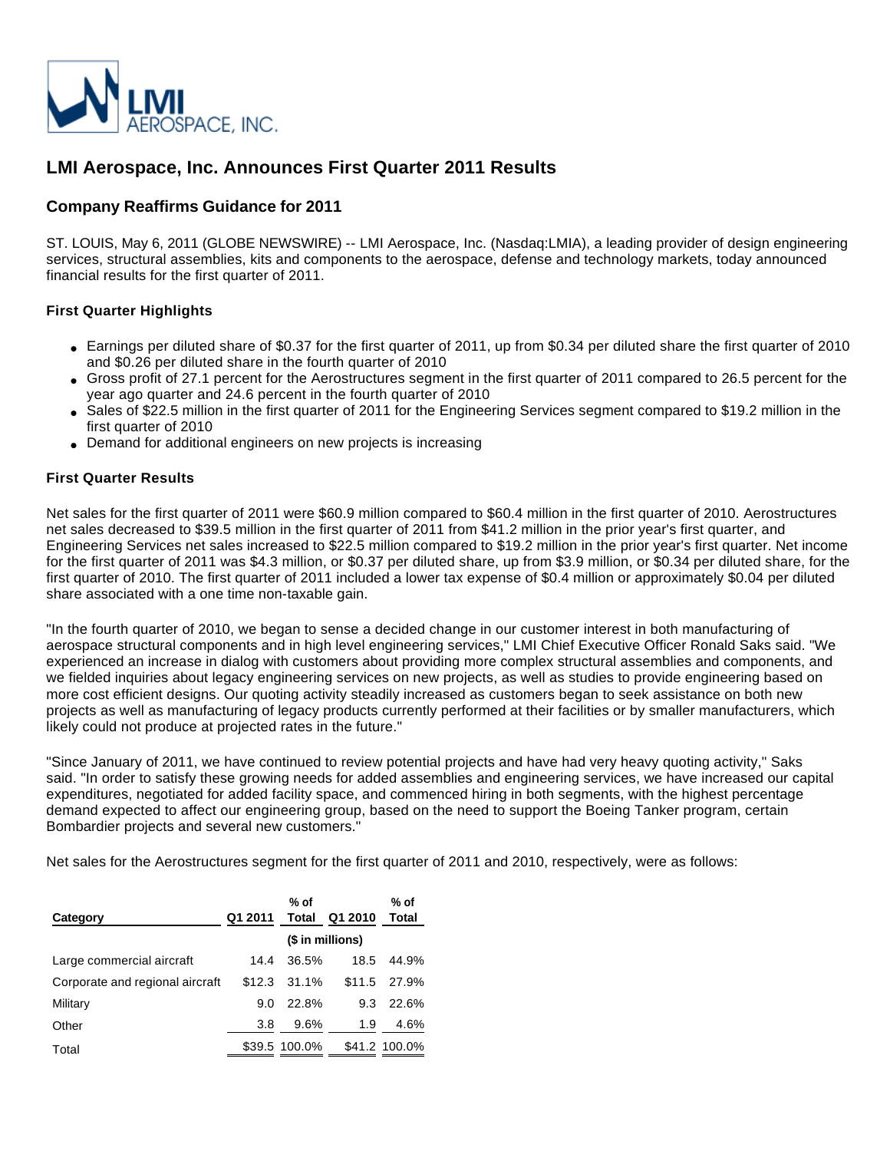

# **LMI Aerospace, Inc. Announces First Quarter 2011 Results**

## **Company Reaffirms Guidance for 2011**

ST. LOUIS, May 6, 2011 (GLOBE NEWSWIRE) -- LMI Aerospace, Inc. (Nasdaq:LMIA), a leading provider of design engineering services, structural assemblies, kits and components to the aerospace, defense and technology markets, today announced financial results for the first quarter of 2011.

### **First Quarter Highlights**

- Earnings per diluted share of \$0.37 for the first quarter of 2011, up from \$0.34 per diluted share the first quarter of 2010 and \$0.26 per diluted share in the fourth quarter of 2010
- Gross profit of 27.1 percent for the Aerostructures segment in the first quarter of 2011 compared to 26.5 percent for the year ago quarter and 24.6 percent in the fourth quarter of 2010
- Sales of \$22.5 million in the first quarter of 2011 for the Engineering Services segment compared to \$19.2 million in the first quarter of 2010
- Demand for additional engineers on new projects is increasing

### **First Quarter Results**

Net sales for the first quarter of 2011 were \$60.9 million compared to \$60.4 million in the first quarter of 2010. Aerostructures net sales decreased to \$39.5 million in the first quarter of 2011 from \$41.2 million in the prior year's first quarter, and Engineering Services net sales increased to \$22.5 million compared to \$19.2 million in the prior year's first quarter. Net income for the first quarter of 2011 was \$4.3 million, or \$0.37 per diluted share, up from \$3.9 million, or \$0.34 per diluted share, for the first quarter of 2010. The first quarter of 2011 included a lower tax expense of \$0.4 million or approximately \$0.04 per diluted share associated with a one time non-taxable gain.

"In the fourth quarter of 2010, we began to sense a decided change in our customer interest in both manufacturing of aerospace structural components and in high level engineering services," LMI Chief Executive Officer Ronald Saks said. "We experienced an increase in dialog with customers about providing more complex structural assemblies and components, and we fielded inquiries about legacy engineering services on new projects, as well as studies to provide engineering based on more cost efficient designs. Our quoting activity steadily increased as customers began to seek assistance on both new projects as well as manufacturing of legacy products currently performed at their facilities or by smaller manufacturers, which likely could not produce at projected rates in the future."

"Since January of 2011, we have continued to review potential projects and have had very heavy quoting activity," Saks said. "In order to satisfy these growing needs for added assemblies and engineering services, we have increased our capital expenditures, negotiated for added facility space, and commenced hiring in both segments, with the highest percentage demand expected to affect our engineering group, based on the need to support the Boeing Tanker program, certain Bombardier projects and several new customers."

Net sales for the Aerostructures segment for the first quarter of 2011 and 2010, respectively, were as follows:

| Category                        | Q1 2011 | % of<br>Total | Q1 2010          | % of<br><b>Total</b> |
|---------------------------------|---------|---------------|------------------|----------------------|
|                                 |         |               | (\$ in millions) |                      |
| Large commercial aircraft       | 14.4    | 36.5%         | 18.5             | 44.9%                |
| Corporate and regional aircraft |         | $$12.3$ 31.1% |                  | $$11.5$ 27.9%        |
| Military                        | 9.0     | 22.8%         | 9.3              | 22.6%                |
| Other                           | 3.8     | 9.6%          | 1.9              | 4.6%                 |
| Total                           |         | \$39.5 100.0% |                  | \$41.2 100.0%        |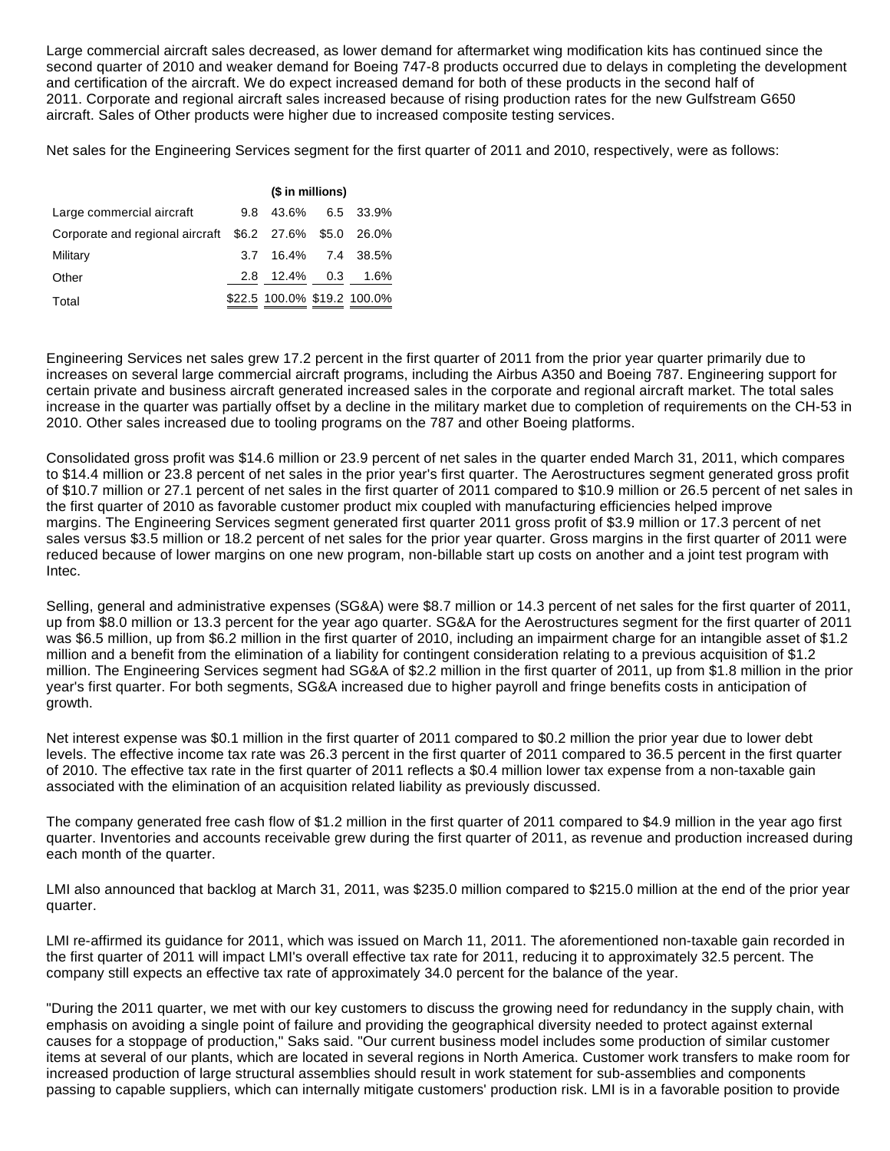Large commercial aircraft sales decreased, as lower demand for aftermarket wing modification kits has continued since the second quarter of 2010 and weaker demand for Boeing 747-8 products occurred due to delays in completing the development and certification of the aircraft. We do expect increased demand for both of these products in the second half of 2011. Corporate and regional aircraft sales increased because of rising production rates for the new Gulfstream G650 aircraft. Sales of Other products were higher due to increased composite testing services.

Net sales for the Engineering Services segment for the first quarter of 2011 and 2010, respectively, were as follows:

|                                                         |     | (\$ in millions)            |  |           |
|---------------------------------------------------------|-----|-----------------------------|--|-----------|
| Large commercial aircraft                               | 9.8 | 43.6%                       |  | 6.5 33.9% |
| Corporate and regional aircraft \$6.2 27.6% \$5.0 26.0% |     |                             |  |           |
| Military                                                |     | $3.7$ 16.4% $7.4$ 38.5%     |  |           |
| Other                                                   |     | 2.8 12.4% 0.3               |  | 1.6%      |
| Total                                                   |     | \$22.5 100.0% \$19.2 100.0% |  |           |

Engineering Services net sales grew 17.2 percent in the first quarter of 2011 from the prior year quarter primarily due to increases on several large commercial aircraft programs, including the Airbus A350 and Boeing 787. Engineering support for certain private and business aircraft generated increased sales in the corporate and regional aircraft market. The total sales increase in the quarter was partially offset by a decline in the military market due to completion of requirements on the CH-53 in 2010. Other sales increased due to tooling programs on the 787 and other Boeing platforms.

Consolidated gross profit was \$14.6 million or 23.9 percent of net sales in the quarter ended March 31, 2011, which compares to \$14.4 million or 23.8 percent of net sales in the prior year's first quarter. The Aerostructures segment generated gross profit of \$10.7 million or 27.1 percent of net sales in the first quarter of 2011 compared to \$10.9 million or 26.5 percent of net sales in the first quarter of 2010 as favorable customer product mix coupled with manufacturing efficiencies helped improve margins. The Engineering Services segment generated first quarter 2011 gross profit of \$3.9 million or 17.3 percent of net sales versus \$3.5 million or 18.2 percent of net sales for the prior year quarter. Gross margins in the first quarter of 2011 were reduced because of lower margins on one new program, non-billable start up costs on another and a joint test program with Intec.

Selling, general and administrative expenses (SG&A) were \$8.7 million or 14.3 percent of net sales for the first quarter of 2011, up from \$8.0 million or 13.3 percent for the year ago quarter. SG&A for the Aerostructures segment for the first quarter of 2011 was \$6.5 million, up from \$6.2 million in the first quarter of 2010, including an impairment charge for an intangible asset of \$1.2 million and a benefit from the elimination of a liability for contingent consideration relating to a previous acquisition of \$1.2 million. The Engineering Services segment had SG&A of \$2.2 million in the first quarter of 2011, up from \$1.8 million in the prior year's first quarter. For both segments, SG&A increased due to higher payroll and fringe benefits costs in anticipation of growth.

Net interest expense was \$0.1 million in the first quarter of 2011 compared to \$0.2 million the prior year due to lower debt levels. The effective income tax rate was 26.3 percent in the first quarter of 2011 compared to 36.5 percent in the first quarter of 2010. The effective tax rate in the first quarter of 2011 reflects a \$0.4 million lower tax expense from a non-taxable gain associated with the elimination of an acquisition related liability as previously discussed.

The company generated free cash flow of \$1.2 million in the first quarter of 2011 compared to \$4.9 million in the year ago first quarter. Inventories and accounts receivable grew during the first quarter of 2011, as revenue and production increased during each month of the quarter.

LMI also announced that backlog at March 31, 2011, was \$235.0 million compared to \$215.0 million at the end of the prior year quarter.

LMI re-affirmed its guidance for 2011, which was issued on March 11, 2011. The aforementioned non-taxable gain recorded in the first quarter of 2011 will impact LMI's overall effective tax rate for 2011, reducing it to approximately 32.5 percent. The company still expects an effective tax rate of approximately 34.0 percent for the balance of the year.

"During the 2011 quarter, we met with our key customers to discuss the growing need for redundancy in the supply chain, with emphasis on avoiding a single point of failure and providing the geographical diversity needed to protect against external causes for a stoppage of production," Saks said. "Our current business model includes some production of similar customer items at several of our plants, which are located in several regions in North America. Customer work transfers to make room for increased production of large structural assemblies should result in work statement for sub-assemblies and components passing to capable suppliers, which can internally mitigate customers' production risk. LMI is in a favorable position to provide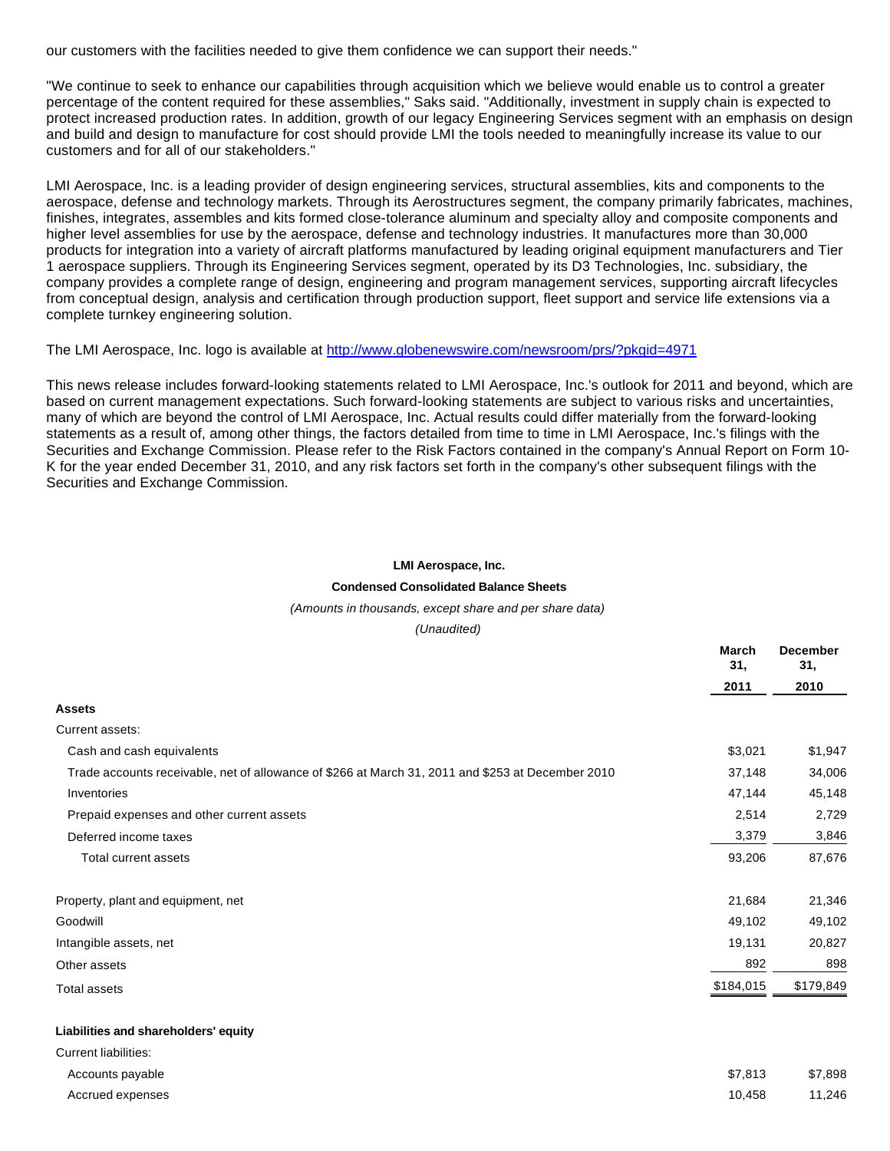our customers with the facilities needed to give them confidence we can support their needs."

"We continue to seek to enhance our capabilities through acquisition which we believe would enable us to control a greater percentage of the content required for these assemblies," Saks said. "Additionally, investment in supply chain is expected to protect increased production rates. In addition, growth of our legacy Engineering Services segment with an emphasis on design and build and design to manufacture for cost should provide LMI the tools needed to meaningfully increase its value to our customers and for all of our stakeholders."

LMI Aerospace, Inc. is a leading provider of design engineering services, structural assemblies, kits and components to the aerospace, defense and technology markets. Through its Aerostructures segment, the company primarily fabricates, machines, finishes, integrates, assembles and kits formed close-tolerance aluminum and specialty alloy and composite components and higher level assemblies for use by the aerospace, defense and technology industries. It manufactures more than 30,000 products for integration into a variety of aircraft platforms manufactured by leading original equipment manufacturers and Tier 1 aerospace suppliers. Through its Engineering Services segment, operated by its D3 Technologies, Inc. subsidiary, the company provides a complete range of design, engineering and program management services, supporting aircraft lifecycles from conceptual design, analysis and certification through production support, fleet support and service life extensions via a complete turnkey engineering solution.

The LMI Aerospace, Inc. logo is available at <http://www.globenewswire.com/newsroom/prs/?pkgid=4971>

This news release includes forward-looking statements related to LMI Aerospace, Inc.'s outlook for 2011 and beyond, which are based on current management expectations. Such forward-looking statements are subject to various risks and uncertainties, many of which are beyond the control of LMI Aerospace, Inc. Actual results could differ materially from the forward-looking statements as a result of, among other things, the factors detailed from time to time in LMI Aerospace, Inc.'s filings with the Securities and Exchange Commission. Please refer to the Risk Factors contained in the company's Annual Report on Form 10- K for the year ended December 31, 2010, and any risk factors set forth in the company's other subsequent filings with the Securities and Exchange Commission.

#### **LMI Aerospace, Inc. Condensed Consolidated Balance Sheets**

#### (Amounts in thousands, except share and per share data)

#### (Unaudited)

|                                                                                                   | <b>March</b><br>31, | <b>December</b><br>31, |
|---------------------------------------------------------------------------------------------------|---------------------|------------------------|
|                                                                                                   | 2011                | 2010                   |
| <b>Assets</b>                                                                                     |                     |                        |
| Current assets:                                                                                   |                     |                        |
| Cash and cash equivalents                                                                         | \$3,021             | \$1,947                |
| Trade accounts receivable, net of allowance of \$266 at March 31, 2011 and \$253 at December 2010 | 37,148              | 34,006                 |
| Inventories                                                                                       | 47,144              | 45,148                 |
| Prepaid expenses and other current assets                                                         | 2,514               | 2,729                  |
| Deferred income taxes                                                                             | 3,379               | 3,846                  |
| Total current assets                                                                              | 93,206              | 87,676                 |
| Property, plant and equipment, net                                                                | 21,684              | 21,346                 |
| Goodwill                                                                                          | 49,102              | 49,102                 |
| Intangible assets, net                                                                            | 19,131              | 20,827                 |
| Other assets                                                                                      | 892                 | 898                    |
| <b>Total assets</b>                                                                               | \$184,015           | \$179,849              |
| Liabilities and shareholders' equity                                                              |                     |                        |
| <b>Current liabilities:</b>                                                                       |                     |                        |
| Accounts payable                                                                                  | \$7,813             | \$7,898                |
| Accrued expenses                                                                                  | 10,458              | 11,246                 |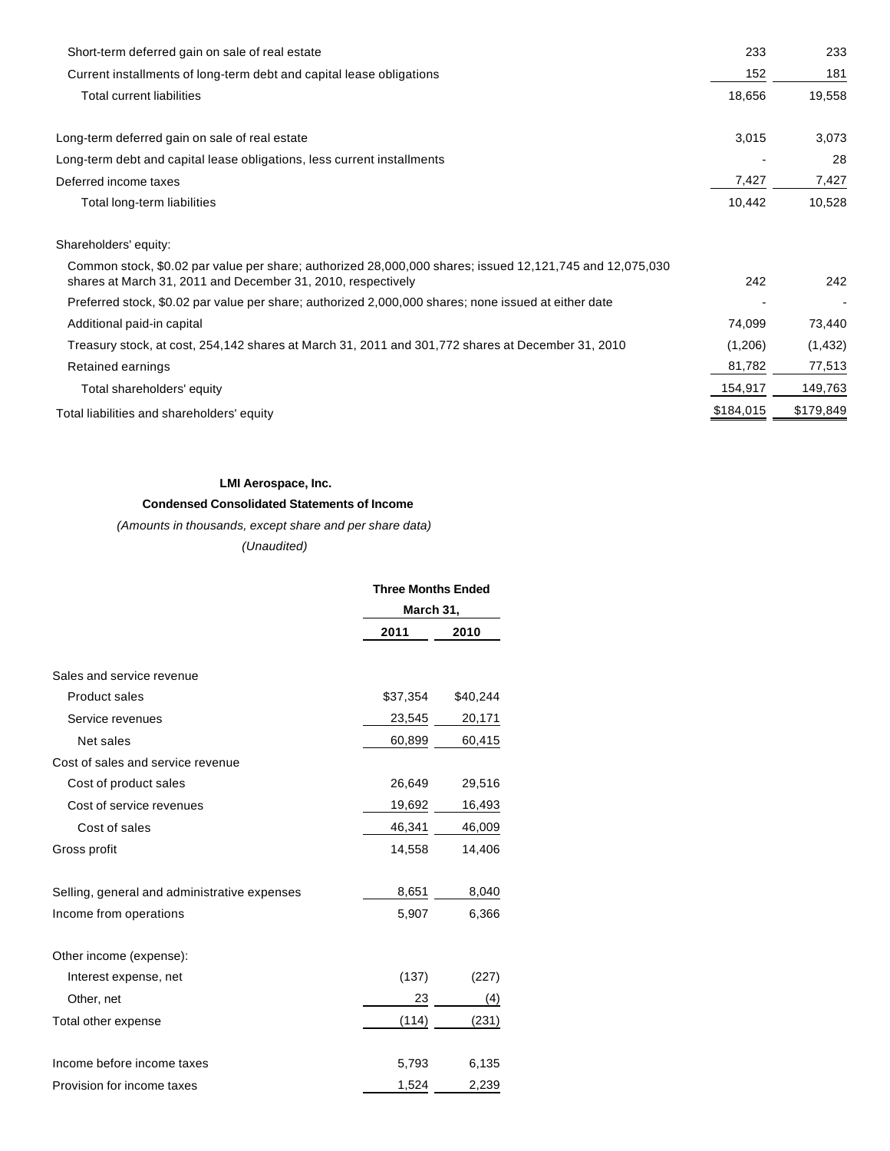| Short-term deferred gain on sale of real estate                                                                                                                          | 233       | 233       |
|--------------------------------------------------------------------------------------------------------------------------------------------------------------------------|-----------|-----------|
| Current installments of long-term debt and capital lease obligations                                                                                                     | 152       | 181       |
| <b>Total current liabilities</b>                                                                                                                                         | 18,656    | 19,558    |
| Long-term deferred gain on sale of real estate                                                                                                                           | 3,015     | 3,073     |
| Long-term debt and capital lease obligations, less current installments                                                                                                  |           | 28        |
| Deferred income taxes                                                                                                                                                    | 7,427     | 7,427     |
| Total long-term liabilities                                                                                                                                              | 10,442    | 10,528    |
| Shareholders' equity:                                                                                                                                                    |           |           |
| Common stock, \$0.02 par value per share; authorized 28,000,000 shares; issued 12,121,745 and 12,075,030<br>shares at March 31, 2011 and December 31, 2010, respectively | 242       | 242       |
| Preferred stock, \$0.02 par value per share; authorized 2,000,000 shares; none issued at either date                                                                     |           |           |
| Additional paid-in capital                                                                                                                                               | 74,099    | 73,440    |
| Treasury stock, at cost, 254,142 shares at March 31, 2011 and 301,772 shares at December 31, 2010                                                                        | (1,206)   | (1, 432)  |
| Retained earnings                                                                                                                                                        | 81,782    | 77,513    |
| Total shareholders' equity                                                                                                                                               | 154,917   | 149,763   |
| Total liabilities and shareholders' equity                                                                                                                               | \$184,015 | \$179,849 |

### **LMI Aerospace, Inc.**

### **Condensed Consolidated Statements of Income**

(Amounts in thousands, except share and per share data)

(Unaudited)

|                                              |          | <b>Three Months Ended</b><br>March 31, |  |
|----------------------------------------------|----------|----------------------------------------|--|
|                                              |          |                                        |  |
|                                              | 2011     | 2010                                   |  |
|                                              |          |                                        |  |
| Sales and service revenue                    |          |                                        |  |
| Product sales                                | \$37,354 | \$40,244                               |  |
| Service revenues                             | 23,545   | 20,171                                 |  |
| Net sales                                    | 60,899   | 60,415                                 |  |
| Cost of sales and service revenue            |          |                                        |  |
| Cost of product sales                        | 26,649   | 29,516                                 |  |
| Cost of service revenues                     | 19,692   | 16,493                                 |  |
| Cost of sales                                | 46,341   | 46,009                                 |  |
| Gross profit                                 | 14,558   | 14,406                                 |  |
| Selling, general and administrative expenses | 8,651    | 8,040                                  |  |
| Income from operations                       | 5,907    | 6,366                                  |  |
| Other income (expense):                      |          |                                        |  |
| Interest expense, net                        | (137)    | (227)                                  |  |
| Other, net                                   | 23       | (4)                                    |  |
| Total other expense                          | (114)    | (231)                                  |  |
|                                              |          |                                        |  |
| Income before income taxes                   | 5,793    | 6,135                                  |  |
| Provision for income taxes                   | 1,524    | 2,239                                  |  |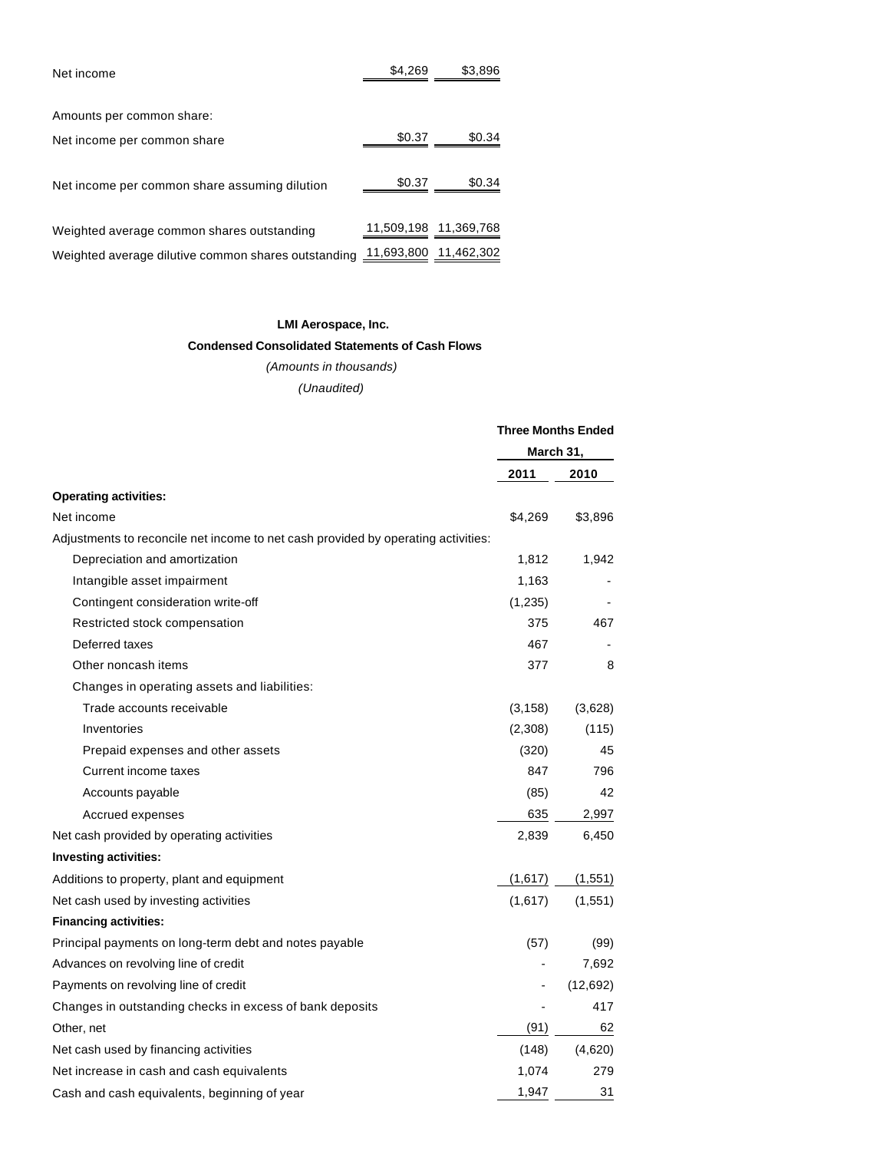| Net income                                          | \$4.269 | \$3,896               |
|-----------------------------------------------------|---------|-----------------------|
| Amounts per common share:                           |         |                       |
| Net income per common share                         | \$0.37  | \$0.34                |
| Net income per common share assuming dilution       | \$0.37  | \$0.34                |
| Weighted average common shares outstanding          |         | 11,509,198 11,369,768 |
| Weighted average dilutive common shares outstanding |         | 11,693,800 11,462,302 |

### **LMI Aerospace, Inc.**

#### **Condensed Consolidated Statements of Cash Flows**

## (Amounts in thousands)

(Unaudited)

|                                                                                   | <b>Three Months Ended</b><br>March 31, |           |
|-----------------------------------------------------------------------------------|----------------------------------------|-----------|
|                                                                                   |                                        |           |
|                                                                                   | 2011                                   | 2010      |
| <b>Operating activities:</b>                                                      |                                        |           |
| Net income                                                                        | \$4,269                                | \$3,896   |
| Adjustments to reconcile net income to net cash provided by operating activities: |                                        |           |
| Depreciation and amortization                                                     | 1,812                                  | 1,942     |
| Intangible asset impairment                                                       | 1,163                                  |           |
| Contingent consideration write-off                                                | (1,235)                                |           |
| Restricted stock compensation                                                     | 375                                    | 467       |
| Deferred taxes                                                                    | 467                                    |           |
| Other noncash items                                                               | 377                                    | 8         |
| Changes in operating assets and liabilities:                                      |                                        |           |
| Trade accounts receivable                                                         | (3, 158)                               | (3,628)   |
| Inventories                                                                       | (2,308)                                | (115)     |
| Prepaid expenses and other assets                                                 | (320)                                  | 45        |
| Current income taxes                                                              | 847                                    | 796       |
| Accounts payable                                                                  | (85)                                   | 42        |
| Accrued expenses                                                                  | 635                                    | 2,997     |
| Net cash provided by operating activities                                         | 2,839                                  | 6,450     |
| <b>Investing activities:</b>                                                      |                                        |           |
| Additions to property, plant and equipment                                        | (1,617)                                | (1, 551)  |
| Net cash used by investing activities                                             | (1,617)                                | (1,551)   |
| <b>Financing activities:</b>                                                      |                                        |           |
| Principal payments on long-term debt and notes payable                            | (57)                                   | (99)      |
| Advances on revolving line of credit                                              |                                        | 7,692     |
| Payments on revolving line of credit                                              |                                        | (12, 692) |
| Changes in outstanding checks in excess of bank deposits                          |                                        | 417       |
| Other, net                                                                        | (91)                                   | 62        |
| Net cash used by financing activities                                             | (148)                                  | (4,620)   |
| Net increase in cash and cash equivalents                                         | 1,074                                  | 279       |
| Cash and cash equivalents, beginning of year                                      | 1,947                                  | 31        |